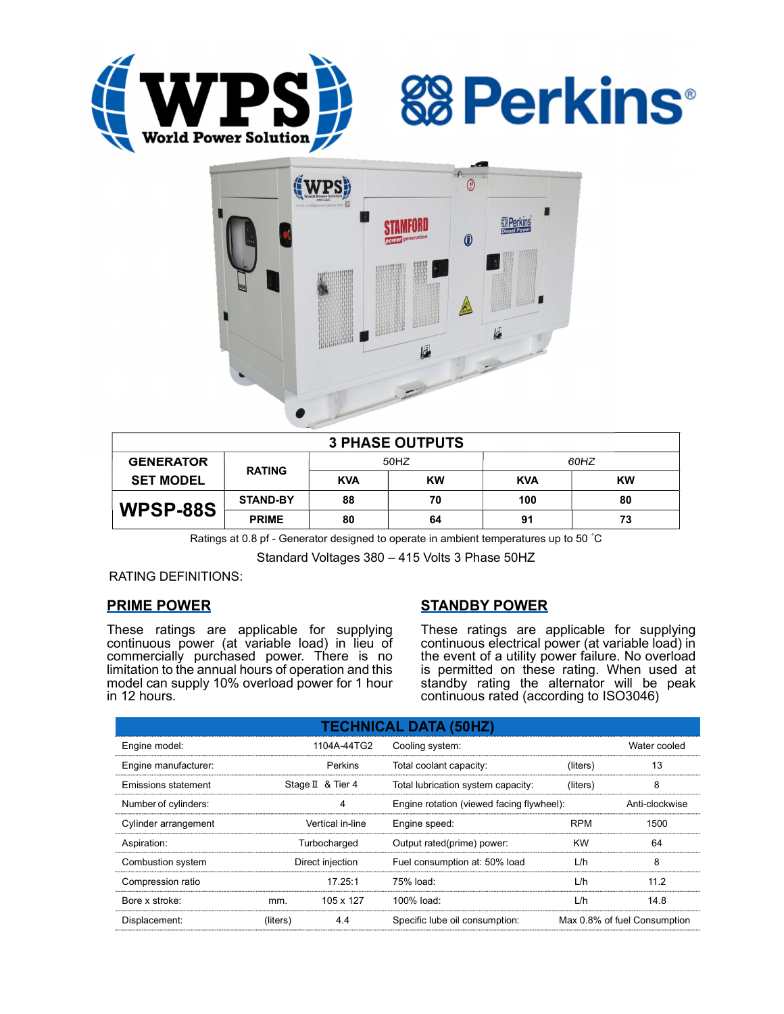





| <b>3 PHASE OUTPUTS</b> |                 |            |           |            |           |  |  |  |
|------------------------|-----------------|------------|-----------|------------|-----------|--|--|--|
| <b>GENERATOR</b>       | <b>RATING</b>   | 50HZ       |           | 60HZ       |           |  |  |  |
| <b>SET MODEL</b>       |                 | <b>KVA</b> | <b>KW</b> | <b>KVA</b> | <b>KW</b> |  |  |  |
| WPSP-88S               | <b>STAND-BY</b> | 88         | 70        | 100        | 80        |  |  |  |
|                        | <b>PRIME</b>    | 80         | 64        | 91         | 73        |  |  |  |

Ratings at 0.8 pf - Generator designed to operate in ambient temperatures up to 50 °C

Standard Voltages 380 – 415 Volts 3 Phase 50HZ

### RATING DEFINITIONS:

### PRIME POWER

These ratings are applicable for supplying continuous power (at variable load) in lieu of commercially purchased power. There is no limitation to the annual hours of operation and this model can supply 10% overload power for 1 hour in 12 hours.

### STANDBY POWER

These ratings are applicable for supplying continuous electrical power (at variable load) in the event of a utility power failure. No overload is permitted on these rating. When used at standby rating the alternator will be peak continuous rated (according to ISO3046)

| <b>TECHNICAL DATA (50HZ)</b> |                  |                   |                                           |            |                              |  |  |  |
|------------------------------|------------------|-------------------|-------------------------------------------|------------|------------------------------|--|--|--|
| Engine model:                | 1104A-44TG2      |                   | Cooling system:                           |            | Water cooled                 |  |  |  |
| Engine manufacturer:         | Perkins          |                   | Total coolant capacity:                   | (liters)   | 13                           |  |  |  |
| Emissions statement          |                  | Stage II & Tier 4 | Total lubrication system capacity:        | (liters)   | 8                            |  |  |  |
| Number of cylinders:         | 4                |                   | Engine rotation (viewed facing flywheel): |            | Anti-clockwise               |  |  |  |
| Cylinder arrangement         | Vertical in-line |                   | Engine speed:                             | <b>RPM</b> | 1500                         |  |  |  |
| Aspiration:                  | Turbocharged     |                   | Output rated(prime) power:                | <b>KW</b>  | 64                           |  |  |  |
| Combustion system            | Direct injection |                   | Fuel consumption at: 50% load             | L/h        | 8                            |  |  |  |
| Compression ratio            |                  | 17.25:1           | $75%$ load:                               | L/h        | 112                          |  |  |  |
| Bore x stroke:               | mm.              | 105 x 127         | 100% load:                                | L/h        | 14.8                         |  |  |  |
| Displacement:                | (liters)         | 4.4               | Specific lube oil consumption:            |            | Max 0.8% of fuel Consumption |  |  |  |